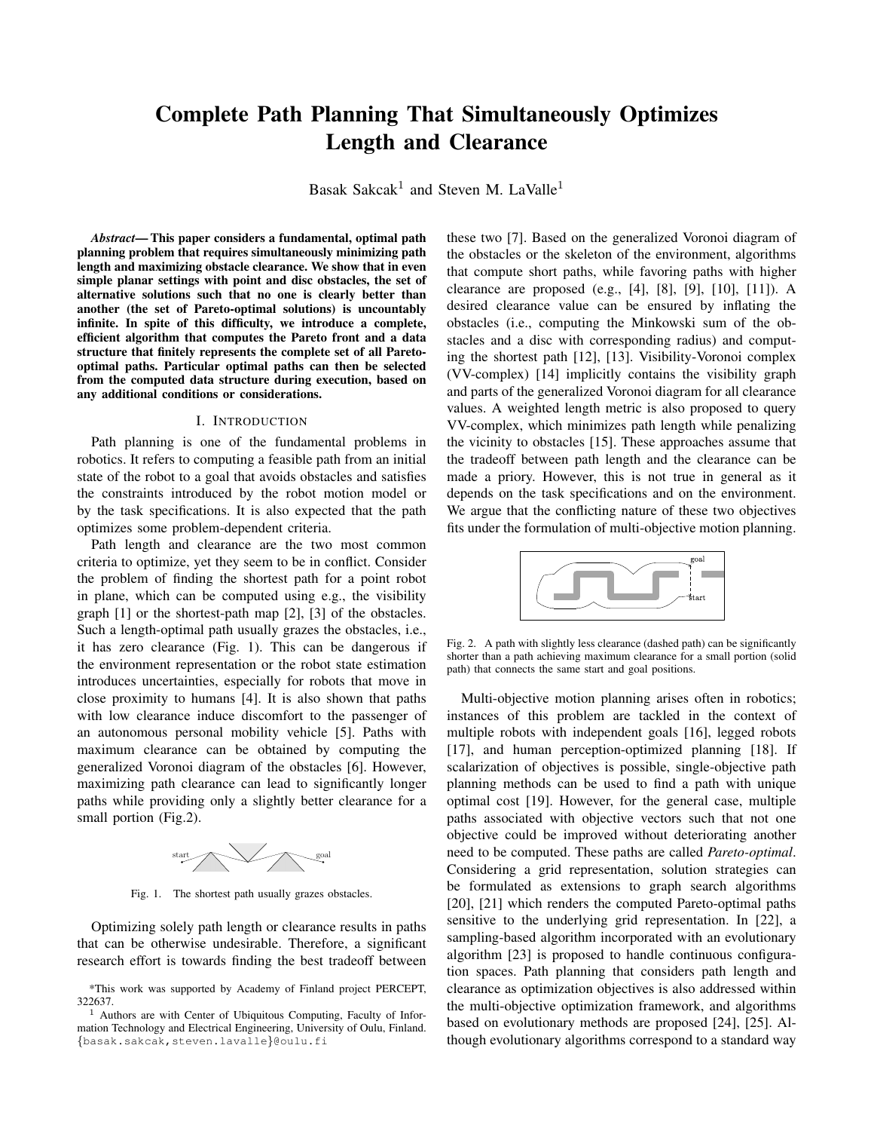# Complete Path Planning That Simultaneously Optimizes Length and Clearance

Basak Sakcak<sup>1</sup> and Steven M. LaValle<sup>1</sup>

*Abstract*— This paper considers a fundamental, optimal path planning problem that requires simultaneously minimizing path length and maximizing obstacle clearance. We show that in even simple planar settings with point and disc obstacles, the set of alternative solutions such that no one is clearly better than another (the set of Pareto-optimal solutions) is uncountably infinite. In spite of this difficulty, we introduce a complete, efficient algorithm that computes the Pareto front and a data structure that finitely represents the complete set of all Paretooptimal paths. Particular optimal paths can then be selected from the computed data structure during execution, based on any additional conditions or considerations.

#### I. INTRODUCTION

Path planning is one of the fundamental problems in robotics. It refers to computing a feasible path from an initial state of the robot to a goal that avoids obstacles and satisfies the constraints introduced by the robot motion model or by the task specifications. It is also expected that the path optimizes some problem-dependent criteria.

Path length and clearance are the two most common criteria to optimize, yet they seem to be in conflict. Consider the problem of finding the shortest path for a point robot in plane, which can be computed using e.g., the visibility graph [1] or the shortest-path map [2], [3] of the obstacles. Such a length-optimal path usually grazes the obstacles, i.e., it has zero clearance (Fig. 1). This can be dangerous if the environment representation or the robot state estimation introduces uncertainties, especially for robots that move in close proximity to humans [4]. It is also shown that paths with low clearance induce discomfort to the passenger of an autonomous personal mobility vehicle [5]. Paths with maximum clearance can be obtained by computing the generalized Voronoi diagram of the obstacles [6]. However, maximizing path clearance can lead to significantly longer paths while providing only a slightly better clearance for a small portion (Fig.2).



Fig. 1. The shortest path usually grazes obstacles.

Optimizing solely path length or clearance results in paths that can be otherwise undesirable. Therefore, a significant research effort is towards finding the best tradeoff between these two [7]. Based on the generalized Voronoi diagram of the obstacles or the skeleton of the environment, algorithms that compute short paths, while favoring paths with higher clearance are proposed (e.g., [4], [8], [9], [10], [11]). A desired clearance value can be ensured by inflating the obstacles (i.e., computing the Minkowski sum of the obstacles and a disc with corresponding radius) and computing the shortest path [12], [13]. Visibility-Voronoi complex (VV-complex) [14] implicitly contains the visibility graph and parts of the generalized Voronoi diagram for all clearance values. A weighted length metric is also proposed to query VV-complex, which minimizes path length while penalizing the vicinity to obstacles [15]. These approaches assume that the tradeoff between path length and the clearance can be made a priory. However, this is not true in general as it depends on the task specifications and on the environment. We argue that the conflicting nature of these two objectives fits under the formulation of multi-objective motion planning.



Fig. 2. A path with slightly less clearance (dashed path) can be significantly shorter than a path achieving maximum clearance for a small portion (solid path) that connects the same start and goal positions.

Multi-objective motion planning arises often in robotics; instances of this problem are tackled in the context of multiple robots with independent goals [16], legged robots [17], and human perception-optimized planning [18]. If scalarization of objectives is possible, single-objective path planning methods can be used to find a path with unique optimal cost [19]. However, for the general case, multiple paths associated with objective vectors such that not one objective could be improved without deteriorating another need to be computed. These paths are called *Pareto-optimal*. Considering a grid representation, solution strategies can be formulated as extensions to graph search algorithms [20], [21] which renders the computed Pareto-optimal paths sensitive to the underlying grid representation. In [22], a sampling-based algorithm incorporated with an evolutionary algorithm [23] is proposed to handle continuous configuration spaces. Path planning that considers path length and clearance as optimization objectives is also addressed within the multi-objective optimization framework, and algorithms based on evolutionary methods are proposed [24], [25]. Although evolutionary algorithms correspond to a standard way

<sup>\*</sup>This work was supported by Academy of Finland project PERCEPT, 322637.

 $<sup>1</sup>$  Authors are with Center of Ubiquitous Computing, Faculty of Infor-</sup> mation Technology and Electrical Engineering, University of Oulu, Finland. {basak.sakcak,steven.lavalle}@oulu.fi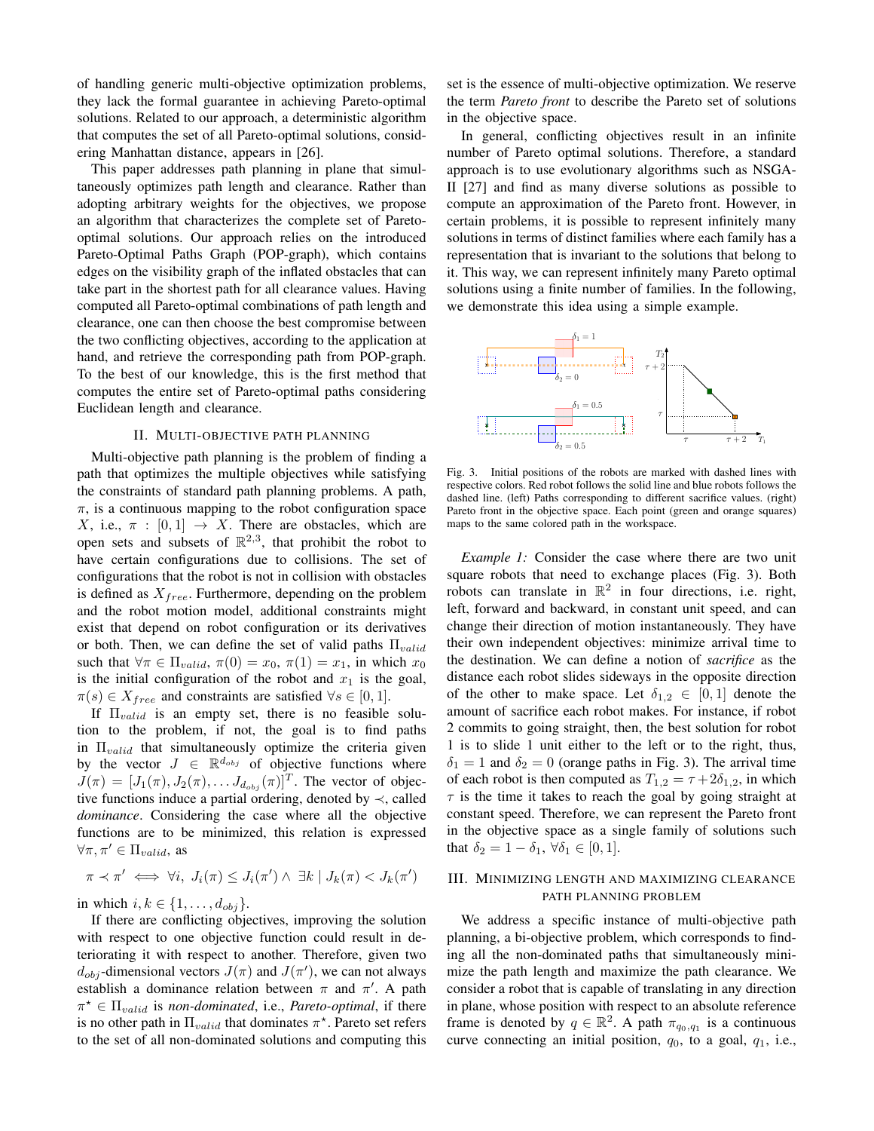of handling generic multi-objective optimization problems, they lack the formal guarantee in achieving Pareto-optimal solutions. Related to our approach, a deterministic algorithm that computes the set of all Pareto-optimal solutions, considering Manhattan distance, appears in [26].

This paper addresses path planning in plane that simultaneously optimizes path length and clearance. Rather than adopting arbitrary weights for the objectives, we propose an algorithm that characterizes the complete set of Paretooptimal solutions. Our approach relies on the introduced Pareto-Optimal Paths Graph (POP-graph), which contains edges on the visibility graph of the inflated obstacles that can take part in the shortest path for all clearance values. Having computed all Pareto-optimal combinations of path length and clearance, one can then choose the best compromise between the two conflicting objectives, according to the application at hand, and retrieve the corresponding path from POP-graph. To the best of our knowledge, this is the first method that computes the entire set of Pareto-optimal paths considering Euclidean length and clearance.

## II. MULTI-OBJECTIVE PATH PLANNING

Multi-objective path planning is the problem of finding a path that optimizes the multiple objectives while satisfying the constraints of standard path planning problems. A path,  $\pi$ , is a continuous mapping to the robot configuration space X, i.e.,  $\pi : [0, 1] \rightarrow X$ . There are obstacles, which are open sets and subsets of  $\mathbb{R}^{2,3}$ , that prohibit the robot to have certain configurations due to collisions. The set of configurations that the robot is not in collision with obstacles is defined as  $X_{free}$ . Furthermore, depending on the problem and the robot motion model, additional constraints might exist that depend on robot configuration or its derivatives or both. Then, we can define the set of valid paths  $\Pi_{valid}$ such that  $\forall \pi \in \Pi_{valid}, \pi(0) = x_0, \pi(1) = x_1$ , in which  $x_0$ is the initial configuration of the robot and  $x_1$  is the goal,  $\pi(s) \in X_{free}$  and constraints are satisfied  $\forall s \in [0,1].$ 

If  $\Pi_{valid}$  is an empty set, there is no feasible solution to the problem, if not, the goal is to find paths in  $\Pi_{valid}$  that simultaneously optimize the criteria given by the vector  $J \in \mathbb{R}^{d_{obj}}$  of objective functions where  $J(\pi) = [J_1(\pi), J_2(\pi), \dots J_{d_{obj}}(\pi)]^T$ . The vector of objective functions induce a partial ordering, denoted by  $\prec$ , called *dominance*. Considering the case where all the objective functions are to be minimized, this relation is expressed  $\forall \pi, \pi' \in \Pi_{valid}$ , as

$$
\pi \prec \pi' \iff \forall i, J_i(\pi) \leq J_i(\pi') \land \exists k \mid J_k(\pi) < J_k(\pi')
$$

in which  $i, k \in \{1, \ldots, d_{obj}\}.$ 

If there are conflicting objectives, improving the solution with respect to one objective function could result in deteriorating it with respect to another. Therefore, given two  $d_{obj}$ -dimensional vectors  $J(\pi)$  and  $J(\pi')$ , we can not always establish a dominance relation between  $\pi$  and  $\pi'$ . A path  $\pi^* \in \Pi_{valid}$  is *non-dominated*, i.e., *Pareto-optimal*, if there is no other path in  $\Pi_{valid}$  that dominates  $\pi^*$ . Pareto set refers to the set of all non-dominated solutions and computing this

set is the essence of multi-objective optimization. We reserve the term *Pareto front* to describe the Pareto set of solutions in the objective space.

In general, conflicting objectives result in an infinite number of Pareto optimal solutions. Therefore, a standard approach is to use evolutionary algorithms such as NSGA-II [27] and find as many diverse solutions as possible to compute an approximation of the Pareto front. However, in certain problems, it is possible to represent infinitely many solutions in terms of distinct families where each family has a representation that is invariant to the solutions that belong to it. This way, we can represent infinitely many Pareto optimal solutions using a finite number of families. In the following, we demonstrate this idea using a simple example.



Fig. 3. Initial positions of the robots are marked with dashed lines with respective colors. Red robot follows the solid line and blue robots follows the dashed line. (left) Paths corresponding to different sacrifice values. (right) Pareto front in the objective space. Each point (green and orange squares) maps to the same colored path in the workspace.

*Example 1:* Consider the case where there are two unit square robots that need to exchange places (Fig. 3). Both robots can translate in  $\mathbb{R}^2$  in four directions, i.e. right, left, forward and backward, in constant unit speed, and can change their direction of motion instantaneously. They have their own independent objectives: minimize arrival time to the destination. We can define a notion of *sacrifice* as the distance each robot slides sideways in the opposite direction of the other to make space. Let  $\delta_{1,2} \in [0,1]$  denote the amount of sacrifice each robot makes. For instance, if robot 2 commits to going straight, then, the best solution for robot 1 is to slide 1 unit either to the left or to the right, thus,  $\delta_1 = 1$  and  $\delta_2 = 0$  (orange paths in Fig. 3). The arrival time of each robot is then computed as  $T_{1,2} = \tau + 2\delta_{1,2}$ , in which  $\tau$  is the time it takes to reach the goal by going straight at constant speed. Therefore, we can represent the Pareto front in the objective space as a single family of solutions such that  $\delta_2 = 1 - \delta_1$ ,  $\forall \delta_1 \in [0, 1]$ .

# III. MINIMIZING LENGTH AND MAXIMIZING CLEARANCE PATH PLANNING PROBLEM

We address a specific instance of multi-objective path planning, a bi-objective problem, which corresponds to finding all the non-dominated paths that simultaneously minimize the path length and maximize the path clearance. We consider a robot that is capable of translating in any direction in plane, whose position with respect to an absolute reference frame is denoted by  $q \in \mathbb{R}^2$ . A path  $\pi_{q_0,q_1}$  is a continuous curve connecting an initial position,  $q_0$ , to a goal,  $q_1$ , i.e.,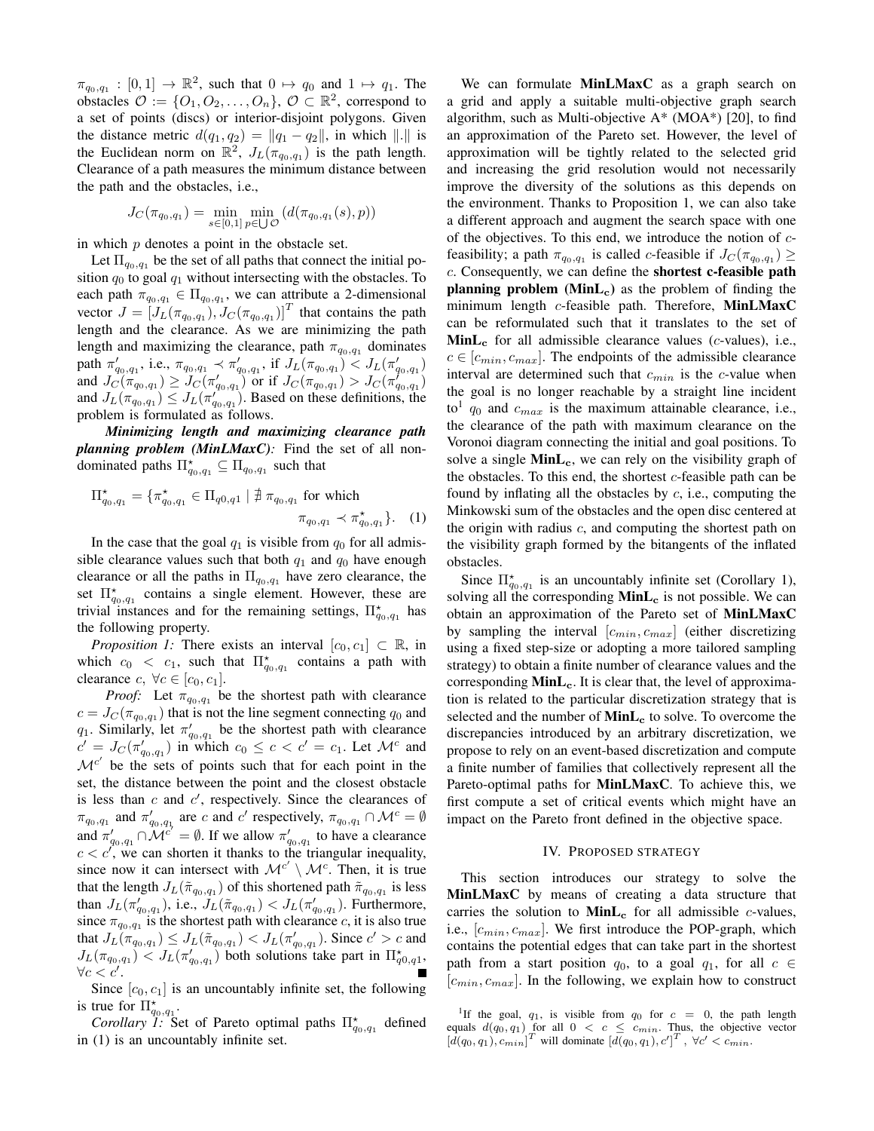$\pi_{q_0,q_1} : [0,1] \to \mathbb{R}^2$ , such that  $0 \mapsto q_0$  and  $1 \mapsto q_1$ . The obstacles  $\mathcal{O} := \{O_1, O_2, \ldots, O_n\}, \mathcal{O} \subset \mathbb{R}^2$ , correspond to a set of points (discs) or interior-disjoint polygons. Given the distance metric  $d(q_1, q_2) = ||q_1 - q_2||$ , in which  $|| \cdot ||$  is the Euclidean norm on  $\mathbb{R}^2$ ,  $J_L(\pi_{q_0,q_1})$  is the path length. Clearance of a path measures the minimum distance between the path and the obstacles, i.e.,

$$
J_C(\pi_{q_0,q_1}) = \min_{s \in [0,1]} \min_{p \in \bigcup \mathcal{O}} (d(\pi_{q_0,q_1}(s), p))
$$

in which  $p$  denotes a point in the obstacle set.

Let  $\Pi_{q_0,q_1}$  be the set of all paths that connect the initial position  $q_0$  to goal  $q_1$  without intersecting with the obstacles. To each path  $\pi_{q_0,q_1} \in \Pi_{q_0,q_1}$ , we can attribute a 2-dimensional vector  $J = [J_L(\pi_{q_0,q_1}), J_C(\pi_{q_0,q_1})]^T$  that contains the path length and the clearance. As we are minimizing the path length and maximizing the clearance, path  $\pi_{q_0,q_1}$  dominates path  $\pi'_{q_0,q_1}$ , i.e.,  $\pi_{q_0,q_1} \prec \pi'_{q_0,q_1}$ , if  $J_L(\pi_{q_0,q_1}) \leq J_L(\pi'_{q_0,q_1})$ and  $J_C(\pi_{q_0,q_1}) \ge J_C(\pi'_{q_0,q_1})$  or if  $J_C(\pi_{q_0,q_1}) > J_C(\pi'_{q_0,q_1})$ and  $J_L(\pi_{q_0,q_1}^{(n)} ) \leq J_L(\pi_{q_0,q_1}^{(n)} )$ . Based on these definitions, the problem is formulated as follows.

*Minimizing length and maximizing clearance path planning problem (MinLMaxC):* Find the set of all nondominated paths  $\Pi_{q_0,q_1}^* \subseteq \Pi_{q_0,q_1}$  such that

$$
\Pi_{q_0,q_1}^* = \{ \pi_{q_0,q_1}^* \in \Pi_{q_0,q_1} \mid \nexists \pi_{q_0,q_1} \text{ for which}
$$

$$
\pi_{q_0,q_1} \prec \pi_{q_0,q_1}^* \}.
$$
 (1)

In the case that the goal  $q_1$  is visible from  $q_0$  for all admissible clearance values such that both  $q_1$  and  $q_0$  have enough clearance or all the paths in  $\Pi_{q_0,q_1}$  have zero clearance, the set  $\Pi_{q_0,q_1}^*$  contains a single element. However, these are trivial instances and for the remaining settings,  $\Pi_{q_0,q_1}^{\star}$  has the following property.

*Proposition 1:* There exists an interval  $[c_0, c_1] \subset \mathbb{R}$ , in which  $c_0 < c_1$ , such that  $\Pi_{q_0,q_1}^{\star}$  contains a path with clearance  $c, \forall c \in [c_0, c_1].$ 

*Proof:* Let  $\pi_{q_0,q_1}$  be the shortest path with clearance  $c = J_C(\pi_{q_0,q_1})$  that is not the line segment connecting  $q_0$  and  $q_1$ . Similarly, let  $\pi'_{q_0,q_1}$  be the shortest path with clearance  $c' = J_C(\pi'_{q_0,q_1})$  in which  $c_0 \leq c < c' = c_1$ . Let  $\mathcal{M}^c$  and  $\mathcal{M}^{c'}$  be the sets of points such that for each point in the set, the distance between the point and the closest obstacle is less than  $c$  and  $c'$ , respectively. Since the clearances of  $\pi_{q_0,q_1}$  and  $\pi'_{q_0,q_1}$  are c and c' respectively,  $\pi_{q_0,q_1} \cap \mathcal{M}^c = \emptyset$ and  $\pi'_{q_0,q_1} \cap \mathcal{M}^{c'} = \emptyset$ . If we allow  $\pi'_{q_0,q_1}$  to have a clearance  $c < c'$ , we can shorten it thanks to the triangular inequality, since now it can intersect with  $\mathcal{M}^{c'} \setminus \mathcal{M}^c$ . Then, it is true that the length  $J_L(\tilde{\pi}_{q_0,q_1})$  of this shortened path  $\tilde{\pi}_{q_0,q_1}$  is less than  $J_L(\pi'_{q_0,q_1})$ , i.e.,  $J_L(\tilde{\pi}_{q_0,q_1}) < J_L(\pi'_{q_0,q_1})$ . Furthermore, since  $\pi_{q_0,q_1}$  is the shortest path with clearance c, it is also true that  $J_L(\pi_{q_0,q_1}) \leq J_L(\tilde{\pi}_{q_0,q_1}) < J_L(\pi'_{q_0,q_1})$ . Since  $c' > c$  and  $J_L(\pi_{q_0,q_1}) \leq J_L(\pi'_{q_0,q_1})$  both solutions take part in  $\Pi_{q_0,q_1}^{\star}$ ,  $\forall c < c'.$ 

Since  $[c_0, c_1]$  is an uncountably infinite set, the following is true for  $\Pi_{q_0,q_1}^*$ .

*Corollary 1:* Set of Pareto optimal paths  $\Pi_{q_0,q_1}^{\star}$  defined in (1) is an uncountably infinite set.

We can formulate **MinLMaxC** as a graph search on a grid and apply a suitable multi-objective graph search algorithm, such as Multi-objective A\* (MOA\*) [20], to find an approximation of the Pareto set. However, the level of approximation will be tightly related to the selected grid and increasing the grid resolution would not necessarily improve the diversity of the solutions as this depends on the environment. Thanks to Proposition 1, we can also take a different approach and augment the search space with one of the objectives. To this end, we introduce the notion of  $c$ feasibility; a path  $\pi_{q_0,q_1}$  is called c-feasible if  $J_C(\pi_{q_0,q_1}) \geq$ c. Consequently, we can define the shortest c-feasible path planning problem  $(MinL<sub>c</sub>)$  as the problem of finding the minimum length c-feasible path. Therefore, MinLMaxC can be reformulated such that it translates to the set of  $\text{MinL}_{\text{c}}$  for all admissible clearance values (*c*-values), i.e.,  $c \in [c_{min}, c_{max}]$ . The endpoints of the admissible clearance interval are determined such that  $c_{min}$  is the c-value when the goal is no longer reachable by a straight line incident to<sup>1</sup>  $q_0$  and  $c_{max}$  is the maximum attainable clearance, i.e., the clearance of the path with maximum clearance on the Voronoi diagram connecting the initial and goal positions. To solve a single  $MinL_c$ , we can rely on the visibility graph of the obstacles. To this end, the shortest  $c$ -feasible path can be found by inflating all the obstacles by  $c$ , i.e., computing the Minkowski sum of the obstacles and the open disc centered at the origin with radius  $c$ , and computing the shortest path on the visibility graph formed by the bitangents of the inflated obstacles.

Since  $\Pi_{q_0,q_1}^*$  is an uncountably infinite set (Corollary 1), solving all the corresponding  $MinL<sub>c</sub>$  is not possible. We can obtain an approximation of the Pareto set of MinLMaxC by sampling the interval  $[c_{min}, c_{max}]$  (either discretizing using a fixed step-size or adopting a more tailored sampling strategy) to obtain a finite number of clearance values and the corresponding  $\text{MinL}_{c}$ . It is clear that, the level of approximation is related to the particular discretization strategy that is selected and the number of  $\text{MinL}_{c}$  to solve. To overcome the discrepancies introduced by an arbitrary discretization, we propose to rely on an event-based discretization and compute a finite number of families that collectively represent all the Pareto-optimal paths for MinLMaxC. To achieve this, we first compute a set of critical events which might have an impact on the Pareto front defined in the objective space.

#### IV. PROPOSED STRATEGY

This section introduces our strategy to solve the MinLMaxC by means of creating a data structure that carries the solution to  $MinL_c$  for all admissible *c*-values, i.e.,  $[c_{min}, c_{max}]$ . We first introduce the POP-graph, which contains the potential edges that can take part in the shortest path from a start position  $q_0$ , to a goal  $q_1$ , for all  $c \in$  $[c_{min}, c_{max}]$ . In the following, we explain how to construct

<sup>&</sup>lt;sup>1</sup>If the goal,  $q_1$ , is visible from  $q_0$  for  $c = 0$ , the path length equals  $d(q_0, q_1)$  for all  $0 < c \leq c_{min}$ . Thus, the objective vector  $[d(q_0, q_1), c_{min}]^T$  will dominate  $[d(q_0, q_1), c']^T$ ,  $\forall c' < c_{min}$ .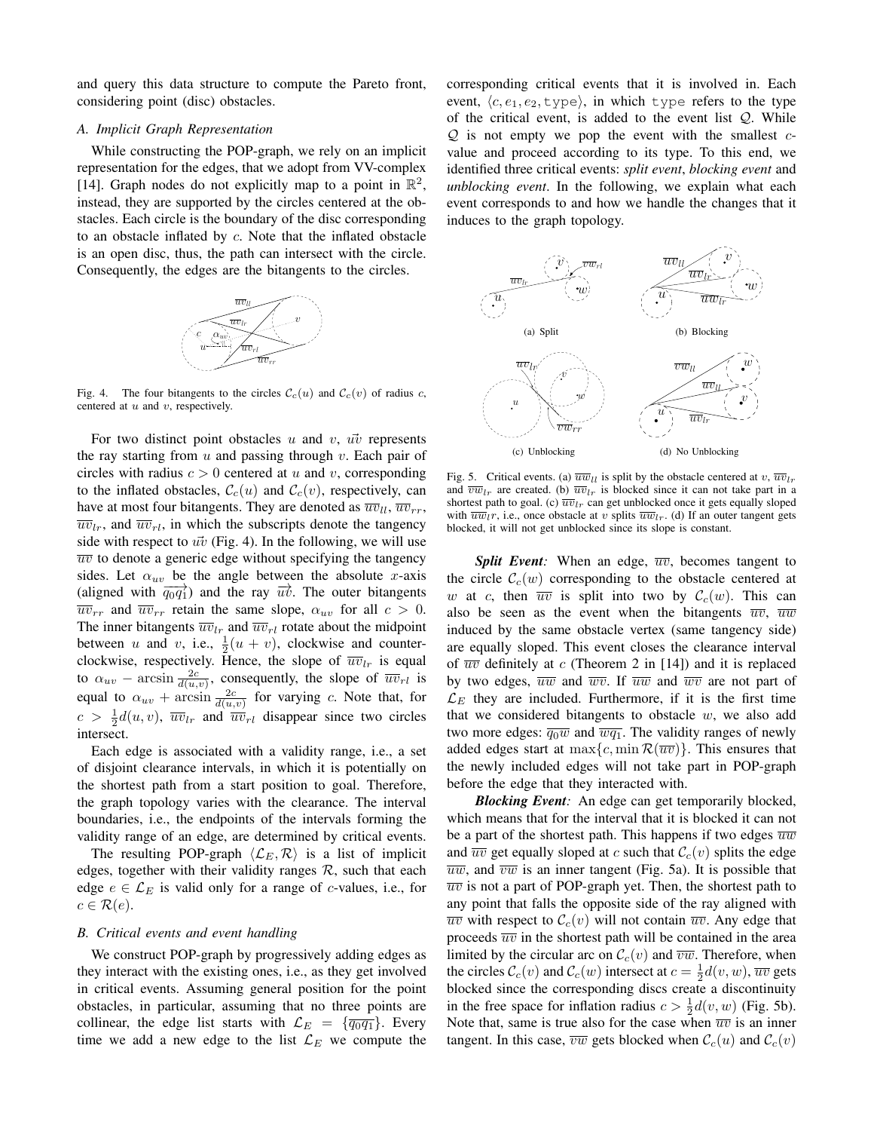and query this data structure to compute the Pareto front, considering point (disc) obstacles.

## *A. Implicit Graph Representation*

While constructing the POP-graph, we rely on an implicit representation for the edges, that we adopt from VV-complex [14]. Graph nodes do not explicitly map to a point in  $\mathbb{R}^2$ , instead, they are supported by the circles centered at the obstacles. Each circle is the boundary of the disc corresponding to an obstacle inflated by c. Note that the inflated obstacle is an open disc, thus, the path can intersect with the circle. Consequently, the edges are the bitangents to the circles.



Fig. 4. The four bitangents to the circles  $\mathcal{C}_c(u)$  and  $\mathcal{C}_c(v)$  of radius c, centered at  $u$  and  $v$ , respectively.

For two distinct point obstacles  $u$  and  $v$ ,  $u\overline{v}$  represents the ray starting from  $u$  and passing through  $v$ . Each pair of circles with radius  $c > 0$  centered at u and v, corresponding to the inflated obstacles,  $\mathcal{C}_c(u)$  and  $\mathcal{C}_c(v)$ , respectively, can have at most four bitangents. They are denoted as  $\overline{uv}_{ll}$ ,  $\overline{uv}_{rr}$ ,  $\overline{uv}_l$ , and  $\overline{uv}_l$ , in which the subscripts denote the tangency side with respect to  $\vec{uv}$  (Fig. 4). In the following, we will use  $\overline{uv}$  to denote a generic edge without specifying the tangency sides. Let  $\alpha_{uv}$  be the angle between the absolute x-axis (aligned with  $\overrightarrow{q_0q_1}$ ) and the ray  $\overrightarrow{uv}$ . The outer bitangents  $\overline{uv}_{rr}$  and  $\overline{uv}_{rr}$  retain the same slope,  $\alpha_{uv}$  for all  $c > 0$ . The inner bitangents  $\overline{uv}_{lr}$  and  $\overline{uv}_{rl}$  rotate about the midpoint between u and v, i.e.,  $\frac{1}{2}(u+v)$ , clockwise and counterclockwise, respectively. Hence, the slope of  $\overline{w}v_{lr}$  is equal to  $\alpha_{uv}$  – arcsin  $\frac{2c}{d(u,v)}$ , consequently, the slope of  $\overline{uv}_{rl}$  is equal to  $\alpha_{uv}$  + arcsin  $\frac{2c}{d(u,v)}$  for varying c. Note that, for  $c > \frac{1}{2}d(u, v)$ ,  $\overline{w}v_{lr}$  and  $\overline{w}v_{rl}$  disappear since two circles intersect.

Each edge is associated with a validity range, i.e., a set of disjoint clearance intervals, in which it is potentially on the shortest path from a start position to goal. Therefore, the graph topology varies with the clearance. The interval boundaries, i.e., the endpoints of the intervals forming the validity range of an edge, are determined by critical events.

The resulting POP-graph  $\langle \mathcal{L}_E, \mathcal{R} \rangle$  is a list of implicit edges, together with their validity ranges  $R$ , such that each edge  $e \in \mathcal{L}_E$  is valid only for a range of c-values, i.e., for  $c \in \mathcal{R}(e)$ .

# *B. Critical events and event handling*

We construct POP-graph by progressively adding edges as they interact with the existing ones, i.e., as they get involved in critical events. Assuming general position for the point obstacles, in particular, assuming that no three points are collinear, the edge list starts with  $\mathcal{L}_E = {\overline{q_0 q_1}}$ . Every time we add a new edge to the list  $\mathcal{L}_E$  we compute the

corresponding critical events that it is involved in. Each event,  $\langle c, e_1, e_2, \text{type} \rangle$ , in which type refers to the type of the critical event, is added to the event list  $Q$ . While  $\mathcal{Q}$  is not empty we pop the event with the smallest  $c$ value and proceed according to its type. To this end, we identified three critical events: *split event*, *blocking event* and *unblocking event*. In the following, we explain what each event corresponds to and how we handle the changes that it induces to the graph topology.



Fig. 5. Critical events. (a)  $\overline{uw}_{ll}$  is split by the obstacle centered at v,  $\overline{uv}_{lr}$ and  $\overline{vw}_{lr}$  are created. (b)  $\overline{w}_{lr}$  is blocked since it can not take part in a shortest path to goal. (c)  $\overline{uv}_{lr}$  can get unblocked once it gets equally sloped with  $\overline{uw}_l$ , i.e., once obstacle at v splits  $\overline{uw}_{l}$ . (d) If an outer tangent gets blocked, it will not get unblocked since its slope is constant.

*Split Event:* When an edge,  $\overline{uv}$ , becomes tangent to the circle  $\mathcal{C}_c(w)$  corresponding to the obstacle centered at w at c, then  $\overline{uv}$  is split into two by  $\mathcal{C}_c(w)$ . This can also be seen as the event when the bitangents  $\overline{uv}$ ,  $\overline{uw}$ induced by the same obstacle vertex (same tangency side) are equally sloped. This event closes the clearance interval of  $\overline{uv}$  definitely at c (Theorem 2 in [14]) and it is replaced by two edges,  $\overline{uw}$  and  $\overline{wv}$ . If  $\overline{uw}$  and  $\overline{wv}$  are not part of  $\mathcal{L}_E$  they are included. Furthermore, if it is the first time that we considered bitangents to obstacle  $w$ , we also add two more edges:  $\overline{q_0w}$  and  $\overline{w_1}$ . The validity ranges of newly added edges start at  $\max\{c, \min \mathcal{R}(\overline{uv})\}$ . This ensures that the newly included edges will not take part in POP-graph before the edge that they interacted with.

*Blocking Event:* An edge can get temporarily blocked, which means that for the interval that it is blocked it can not be a part of the shortest path. This happens if two edges  $\overline{uw}$ and  $\overline{uv}$  get equally sloped at c such that  $\mathcal{C}_c(v)$  splits the edge  $\overline{uw}$ , and  $\overline{vw}$  is an inner tangent (Fig. 5a). It is possible that  $\overline{uv}$  is not a part of POP-graph yet. Then, the shortest path to any point that falls the opposite side of the ray aligned with  $\overline{uv}$  with respect to  $\mathcal{C}_c(v)$  will not contain  $\overline{uv}$ . Any edge that proceeds  $\overline{uv}$  in the shortest path will be contained in the area limited by the circular arc on  $\mathcal{C}_c(v)$  and  $\overline{vw}$ . Therefore, when the circles  $\mathcal{C}_c(v)$  and  $\mathcal{C}_c(w)$  intersect at  $c = \frac{1}{2}d(v, w)$ ,  $\overline{uv}$  gets blocked since the corresponding discs create a discontinuity in the free space for inflation radius  $c > \frac{1}{2}d(v, w)$  (Fig. 5b). Note that, same is true also for the case when  $\overline{uv}$  is an inner tangent. In this case,  $\overline{vw}$  gets blocked when  $\mathcal{C}_c(u)$  and  $\mathcal{C}_c(v)$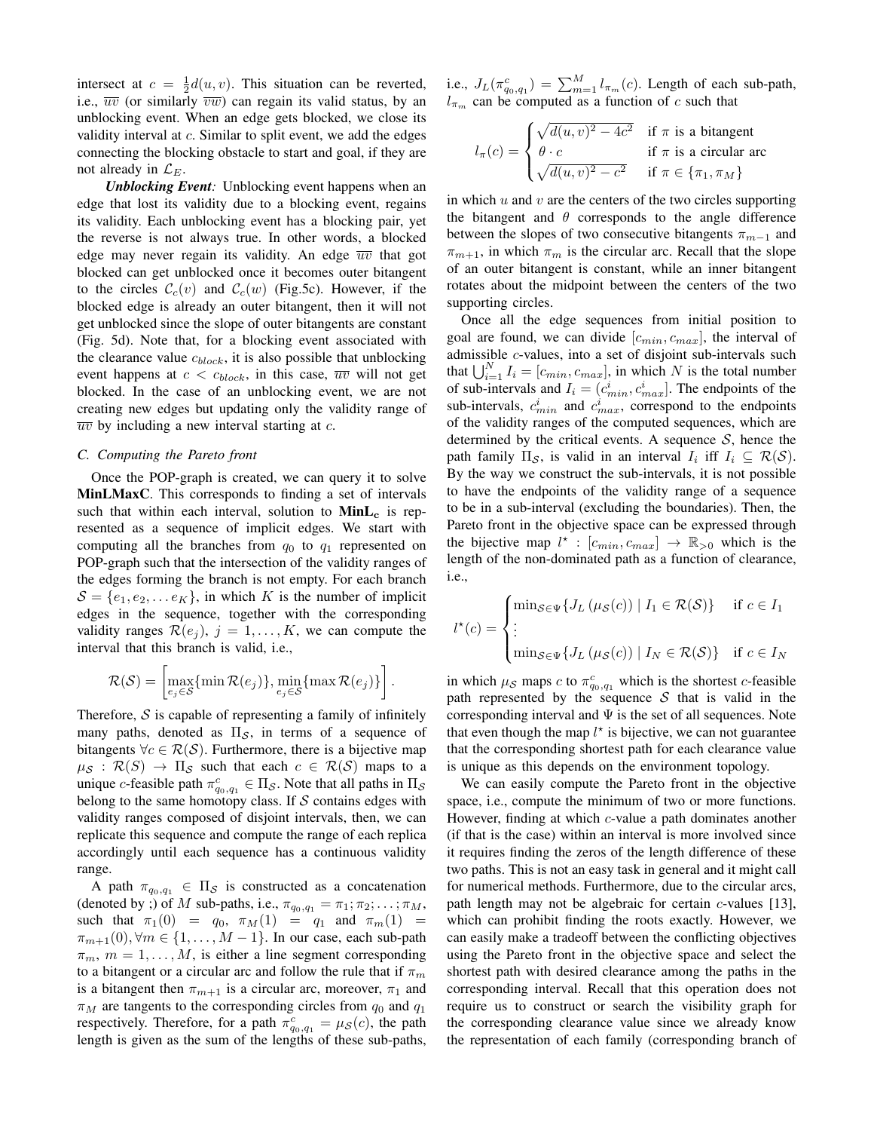intersect at  $c = \frac{1}{2}d(u, v)$ . This situation can be reverted, i.e.,  $\overline{uv}$  (or similarly  $\overline{vw}$ ) can regain its valid status, by an unblocking event. When an edge gets blocked, we close its validity interval at c. Similar to split event, we add the edges connecting the blocking obstacle to start and goal, if they are not already in  $\mathcal{L}_E$ .

*Unblocking Event:* Unblocking event happens when an edge that lost its validity due to a blocking event, regains its validity. Each unblocking event has a blocking pair, yet the reverse is not always true. In other words, a blocked edge may never regain its validity. An edge  $\overline{uv}$  that got blocked can get unblocked once it becomes outer bitangent to the circles  $\mathcal{C}_c(v)$  and  $\mathcal{C}_c(w)$  (Fig.5c). However, if the blocked edge is already an outer bitangent, then it will not get unblocked since the slope of outer bitangents are constant (Fig. 5d). Note that, for a blocking event associated with the clearance value  $c_{block}$ , it is also possible that unblocking event happens at  $c < c_{block}$ , in this case,  $\overline{uv}$  will not get blocked. In the case of an unblocking event, we are not creating new edges but updating only the validity range of  $\overline{uv}$  by including a new interval starting at c.

### *C. Computing the Pareto front*

Once the POP-graph is created, we can query it to solve MinLMaxC. This corresponds to finding a set of intervals such that within each interval, solution to  $Mint_{c}$  is represented as a sequence of implicit edges. We start with computing all the branches from  $q_0$  to  $q_1$  represented on POP-graph such that the intersection of the validity ranges of the edges forming the branch is not empty. For each branch  $S = \{e_1, e_2, \dots e_K\}$ , in which K is the number of implicit edges in the sequence, together with the corresponding validity ranges  $\mathcal{R}(e_i)$ ,  $j = 1, \ldots, K$ , we can compute the interval that this branch is valid, i.e.,

$$
\mathcal{R}(\mathcal{S}) = \left[\max_{e_j \in \mathcal{S}} \{\min \mathcal{R}(e_j)\}, \min_{e_j \in \mathcal{S}} \{\max \mathcal{R}(e_j)\}\right].
$$

Therefore,  $S$  is capable of representing a family of infinitely many paths, denoted as  $\Pi_{\mathcal{S}}$ , in terms of a sequence of bitangents  $\forall c \in \mathcal{R}(\mathcal{S})$ . Furthermore, there is a bijective map  $\mu_{\mathcal{S}} : \mathcal{R}(S) \to \Pi_{\mathcal{S}}$  such that each  $c \in \mathcal{R}(\mathcal{S})$  maps to a unique c-feasible path  $\pi_{q_0,q_1}^c \in \Pi_{\mathcal{S}}$ . Note that all paths in  $\Pi_{\mathcal{S}}$ belong to the same homotopy class. If  $S$  contains edges with validity ranges composed of disjoint intervals, then, we can replicate this sequence and compute the range of each replica accordingly until each sequence has a continuous validity range.

A path  $\pi_{q_0,q_1} \in \Pi_S$  is constructed as a concatenation (denoted by ;) of M sub-paths, i.e.,  $\pi_{q_0,q_1} = \pi_1; \pi_2; \ldots; \pi_M$ , such that  $\pi_1(0) = q_0$ ,  $\pi_M(1) = q_1$  and  $\pi_m(1) =$  $\pi_{m+1}(0), \forall m \in \{1, \ldots, M-1\}$ . In our case, each sub-path  $\pi_m$ ,  $m = 1, \ldots, M$ , is either a line segment corresponding to a bitangent or a circular arc and follow the rule that if  $\pi_m$ is a bitangent then  $\pi_{m+1}$  is a circular arc, moreover,  $\pi_1$  and  $\pi_M$  are tangents to the corresponding circles from  $q_0$  and  $q_1$ respectively. Therefore, for a path  $\pi_{q_0,q_1}^c = \mu_{\mathcal{S}}(c)$ , the path length is given as the sum of the lengths of these sub-paths,

i.e.,  $J_L(\pi_{q_0,q_1}^c) = \sum_{m=1}^M l_{\pi_m}(c)$ . Length of each sub-path,  $l_{\pi_m}$  can be computed as a function of c such that

$$
l_{\pi}(c) = \begin{cases} \sqrt{d(u, v)^2 - 4c^2} & \text{if } \pi \text{ is a bitangent} \\ \theta \cdot c & \text{if } \pi \text{ is a circular arc} \\ \sqrt{d(u, v)^2 - c^2} & \text{if } \pi \in \{\pi_1, \pi_M\} \end{cases}
$$

in which  $u$  and  $v$  are the centers of the two circles supporting the bitangent and  $\theta$  corresponds to the angle difference between the slopes of two consecutive bitangents  $\pi_{m-1}$  and  $\pi_{m+1}$ , in which  $\pi_m$  is the circular arc. Recall that the slope of an outer bitangent is constant, while an inner bitangent rotates about the midpoint between the centers of the two supporting circles.

Once all the edge sequences from initial position to goal are found, we can divide  $[c_{min}, c_{max}]$ , the interval of admissible c-values, into a set of disjoint sub-intervals such that  $\bigcup_{i=1}^{N} I_i = [c_{min}, c_{max}]$ , in which N is the total number of sub-intervals and  $I_i = (c_{min}^i, c_{max}^i]$ . The endpoints of the sub-intervals,  $c_{min}^i$  and  $c_{max}^i$ , correspond to the endpoints of the validity ranges of the computed sequences, which are determined by the critical events. A sequence  $S$ , hence the path family  $\Pi_{\mathcal{S}}$ , is valid in an interval  $I_i$  iff  $I_i \subseteq \mathcal{R}(\mathcal{S})$ . By the way we construct the sub-intervals, it is not possible to have the endpoints of the validity range of a sequence to be in a sub-interval (excluding the boundaries). Then, the Pareto front in the objective space can be expressed through the bijective map  $l^* : [c_{min}, c_{max}] \rightarrow \mathbb{R}_{>0}$  which is the length of the non-dominated path as a function of clearance, i.e.,

$$
l^*(c) = \begin{cases} \min_{S \in \Psi} \{ J_L(\mu_S(c)) \mid I_1 \in \mathcal{R}(\mathcal{S}) \} & \text{if } c \in I_1 \\ \vdots & \\ \min_{S \in \Psi} \{ J_L(\mu_S(c)) \mid I_N \in \mathcal{R}(\mathcal{S}) \} & \text{if } c \in I_N \end{cases}
$$

in which  $\mu_{\mathcal{S}}$  maps c to  $\pi_{q_0,q_1}^c$  which is the shortest c-feasible path represented by the sequence  $S$  that is valid in the corresponding interval and  $\Psi$  is the set of all sequences. Note that even though the map  $l^*$  is bijective, we can not guarantee that the corresponding shortest path for each clearance value is unique as this depends on the environment topology.

We can easily compute the Pareto front in the objective space, i.e., compute the minimum of two or more functions. However, finding at which c-value a path dominates another (if that is the case) within an interval is more involved since it requires finding the zeros of the length difference of these two paths. This is not an easy task in general and it might call for numerical methods. Furthermore, due to the circular arcs, path length may not be algebraic for certain c-values [13], which can prohibit finding the roots exactly. However, we can easily make a tradeoff between the conflicting objectives using the Pareto front in the objective space and select the shortest path with desired clearance among the paths in the corresponding interval. Recall that this operation does not require us to construct or search the visibility graph for the corresponding clearance value since we already know the representation of each family (corresponding branch of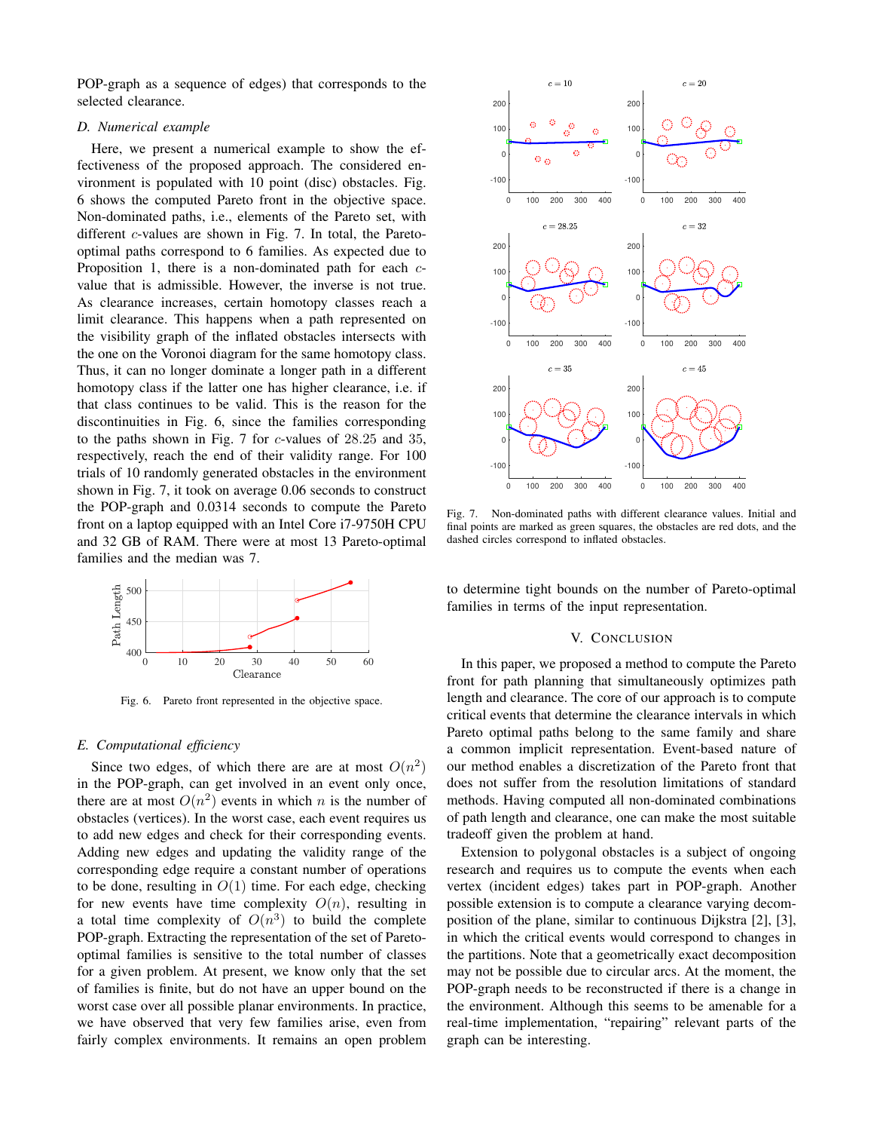POP-graph as a sequence of edges) that corresponds to the selected clearance.

## *D. Numerical example*

Here, we present a numerical example to show the effectiveness of the proposed approach. The considered environment is populated with 10 point (disc) obstacles. Fig. 6 shows the computed Pareto front in the objective space. Non-dominated paths, i.e., elements of the Pareto set, with different *c*-values are shown in Fig. 7. In total, the Paretooptimal paths correspond to 6 families. As expected due to Proposition 1, there is a non-dominated path for each  $c$ value that is admissible. However, the inverse is not true. As clearance increases, certain homotopy classes reach a limit clearance. This happens when a path represented on the visibility graph of the inflated obstacles intersects with the one on the Voronoi diagram for the same homotopy class. Thus, it can no longer dominate a longer path in a different homotopy class if the latter one has higher clearance, i.e. if that class continues to be valid. This is the reason for the discontinuities in Fig. 6, since the families corresponding to the paths shown in Fig. 7 for c-values of 28.25 and 35, respectively, reach the end of their validity range. For 100 trials of 10 randomly generated obstacles in the environment shown in Fig. 7, it took on average 0.06 seconds to construct the POP-graph and 0.0314 seconds to compute the Pareto front on a laptop equipped with an Intel Core i7-9750H CPU and 32 GB of RAM. There were at most 13 Pareto-optimal families and the median was 7.



Fig. 6. Pareto front represented in the objective space.

# *E. Computational efficiency*

Since two edges, of which there are are at most  $O(n^2)$ in the POP-graph, can get involved in an event only once, there are at most  $O(n^2)$  events in which n is the number of obstacles (vertices). In the worst case, each event requires us to add new edges and check for their corresponding events. Adding new edges and updating the validity range of the corresponding edge require a constant number of operations to be done, resulting in  $O(1)$  time. For each edge, checking for new events have time complexity  $O(n)$ , resulting in a total time complexity of  $O(n^3)$  to build the complete POP-graph. Extracting the representation of the set of Paretooptimal families is sensitive to the total number of classes for a given problem. At present, we know only that the set of families is finite, but do not have an upper bound on the worst case over all possible planar environments. In practice, we have observed that very few families arise, even from fairly complex environments. It remains an open problem



Fig. 7. Non-dominated paths with different clearance values. Initial and final points are marked as green squares, the obstacles are red dots, and the dashed circles correspond to inflated obstacles.

to determine tight bounds on the number of Pareto-optimal families in terms of the input representation.

## V. CONCLUSION

In this paper, we proposed a method to compute the Pareto front for path planning that simultaneously optimizes path length and clearance. The core of our approach is to compute critical events that determine the clearance intervals in which Pareto optimal paths belong to the same family and share a common implicit representation. Event-based nature of our method enables a discretization of the Pareto front that does not suffer from the resolution limitations of standard methods. Having computed all non-dominated combinations of path length and clearance, one can make the most suitable tradeoff given the problem at hand.

Extension to polygonal obstacles is a subject of ongoing research and requires us to compute the events when each vertex (incident edges) takes part in POP-graph. Another possible extension is to compute a clearance varying decomposition of the plane, similar to continuous Dijkstra [2], [3], in which the critical events would correspond to changes in the partitions. Note that a geometrically exact decomposition may not be possible due to circular arcs. At the moment, the POP-graph needs to be reconstructed if there is a change in the environment. Although this seems to be amenable for a real-time implementation, "repairing" relevant parts of the graph can be interesting.